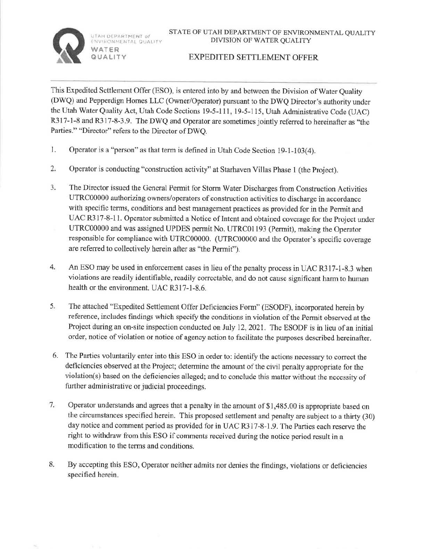UIAH DEPARTM<mark>EN</mark>T OL<br>ENVIRONMENTAL QUALITY

**WATER QUALITY** 



## EXPEDITED SETTLEMENT OFFER

This Expedited Settlement Offer (ESO), is entered into by and between the Division of Water Quality (DWQ) and Pepperdign Homes LLC (Owner/Operator) pursuant to the DWQ Director's authority under the Utah Water Quality Act, Utah Code Sections 19-5-111, 19-5-115, Utah Administrative Code (UAC) R317-1-8 and R317-8-3.9. The DWQ and Operator are sometimes jointly referred to hereinafter as "the Parties." "Director" refers to the Director of DWQ.

- 1. Operator is a "person" as that term is defined in Utah Code Section 19-1-103(4).
- 2. Operator is conducting "construction activity" at Starhaven Villas Phase 1 (the Project).
- 3. The Director issued the General Pennit for Storm Water Discharges from Construction Activities UTRCOO000 authorizing owners/operators of construction activities to discharge in accordance with specific terms, conditions and best management practices as provided for in the Permit and UAC R3 17-8-l l. Operator submitted a Notice of Intent and obtained coverage for the Project under UTRCOO00O and was assigned UPDES pennit No. UTRC0I 193 (Permit), making the Operator responsible for compliance with UTRC0O000. (UTRC00000 and the Operator's specific coverage are referred to collectively herein after as "the Permit").
- 4. An ESO may be used in enforcement cases in lieu of the penalty process in UAC R317-1-8.3 when violations are readily identifiable, readily correctable, and do not cause significant harm to human health or the environment. UAC R317-l-8.6.
- 5. The attached "Expedited Settlement Offer Deficiencies Form" (ESODF), incorporated herein by reference, includes findings which specify the conditions in violation of the Permit observed at the Project during an on-site inspection conducted on July 12, 2021. The ESODF is in lieu of an initial order, notice of violation or notice of agency action to facilitate the purposes described hereinafter.
- 6. The Parties voluntarily enter into this ESO in order to: identify the actions necessary to correct the deficiencies observed at the Project; determine the amount of the civil penalty appropriate for the violation(s) based on the deficiencies alleged; and to conclude this matter without the necessity of further administrative or judicial proceedings.
- 7. Operator understands and agrees that a penalty in the amount of \$1,485.00 is appropriate based on the circumstances specified herein. This proposed settlement and penalty are subject to a thirty (30) day notice and comment period as provided for in UAC R317-8-1.9. The Parties each reserve the right to withdraw from this ESO if comments received during the notice period result in a modification to the terms and conditions.
- 8. By accepting this ESO, Operator neither admits nor denies the findings, violations or deficiencies specified herein.